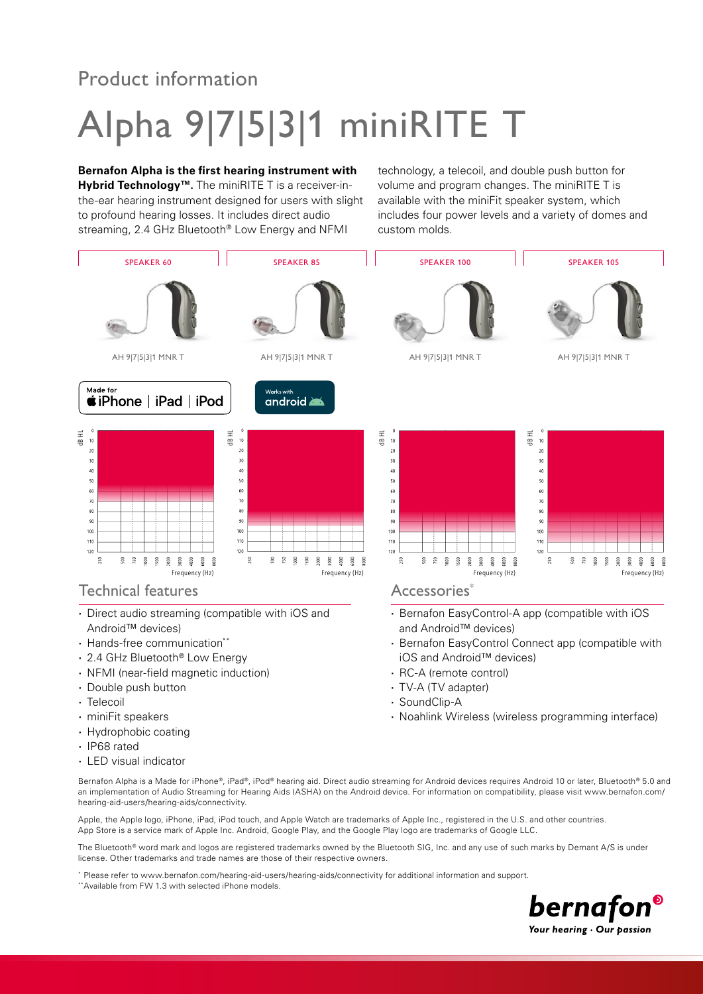## Product information

# Alpha 9|7|5|3|1 miniRITE T

#### **Bernafon Alpha is the first hearing instrument with**

**Hybrid Technology™.** The miniRITE T is a receiver-inthe-ear hearing instrument designed for users with slight to profound hearing losses. It includes direct audio streaming, 2.4 GHz Bluetooth<sup>®</sup> Low Energy and NFMI

technology, a telecoil, and double push button for volume and program changes. The miniRITE T is available with the miniFit speaker system, which includes four power levels and a variety of domes and custom molds.



- **·** Hydrophobic coating
- **·** IP68 rated
- **·** LED visual indicator

Bernafon Alpha is a Made for iPhone®, iPad®, iPod® hearing aid. Direct audio streaming for Android devices requires Android 10 or later, Bluetooth® 5.0 and an implementation of Audio Streaming for Hearing Aids (ASHA) on the Android device. For information on compatibility, please visit www.bernafon.com/ hearing-aid-users/hearing-aids/connectivity.

Apple, the Apple logo, iPhone, iPad, iPod touch, and Apple Watch are trademarks of Apple Inc., registered in the U.S. and other countries. App Store is a service mark of Apple Inc. Android, Google Play, and the Google Play logo are trademarks of Google LLC.

The Bluetooth® word mark and logos are registered trademarks owned by the Bluetooth SIG, Inc. and any use of such marks by Demant A/S is under license. Other trademarks and trade names are those of their respective owners.

Please refer to www.bernafon.com/hearing-aid-users/hearing-aids/connectivity for additional information and support.

\*\*Available from FW 1.3 with selected iPhone models.

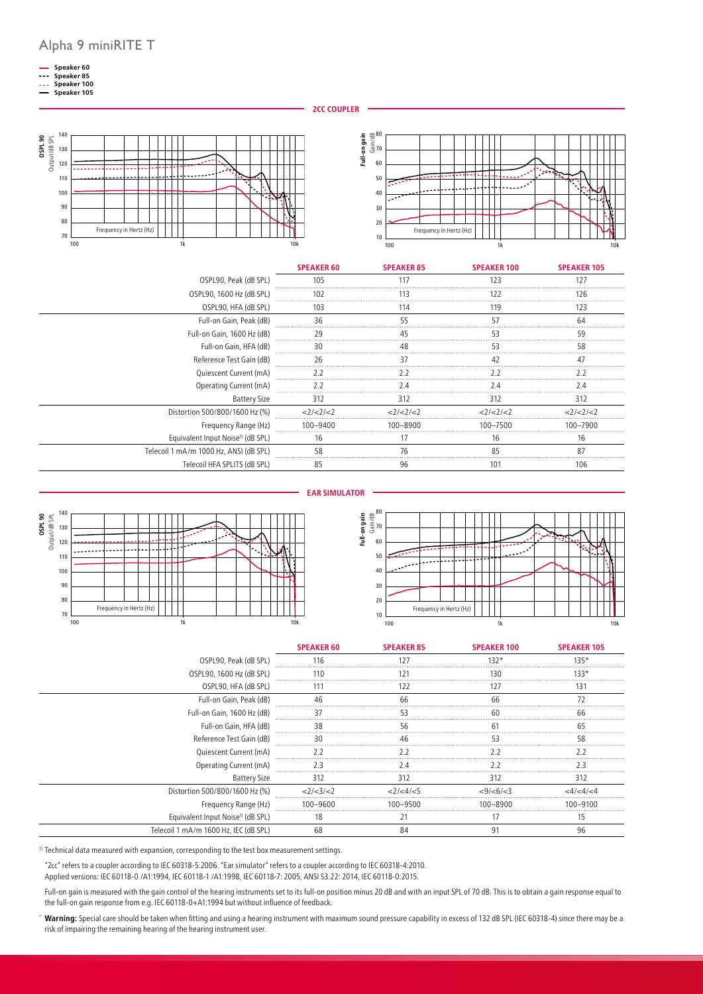- **Speaker 60**
- **Speaker 85 Speaker 100**
- **Speaker 105**

**2CC COUPLER**





|                                               | <b>SPEAKER 60</b> | <b>SPEAKER 85</b> | <b>SPEAKER 100</b> | <b>SPEAKER 105</b> |
|-----------------------------------------------|-------------------|-------------------|--------------------|--------------------|
| OSPL90, Peak (dB SPL)                         | 105               | 117               |                    | 127                |
| OSPL90, 1600 Hz (dB SPL)                      |                   |                   |                    |                    |
| OSPL90, HFA (dB SPL)                          | 103<br>114        |                   | 119                | 123                |
| Full-on Gain, Peak (dB)                       |                   |                   |                    |                    |
| Full-on Gain, 1600 Hz (dB)                    |                   |                   |                    |                    |
| Full-on Gain, HFA (dB)                        |                   |                   |                    | 58                 |
| Reference Test Gain (dB)                      |                   |                   |                    |                    |
| Quiescent Current (mA)                        | 77                |                   |                    |                    |
| Operating Current (mA)                        |                   |                   |                    |                    |
| Battery Size                                  | 312               | 312               | 312                | 312                |
| Distortion 500/800/1600 Hz (%)                | 2/2/2             | 2/2/2             | 21212              | 21212              |
| Frequency Range (Hz)                          | 100-9400          | 100-8900          | 100-7500           | 100–7900           |
| Equivalent Input Noise <sup>1)</sup> (dB SPL) | 16                |                   | Ιb                 | Ιb                 |
| Telecoil 1 mA/m 1000 Hz, ANSI (dB SPL)        |                   |                   |                    |                    |
| Telecoil HFA SPLITS (dB SPL)                  |                   | 96                |                    | 106                |







|                                               | <b>SPEAKER 60</b> | <b>SPEAKER 85</b> | <b>SPEAKER 100</b>  | <b>SPEAKER 105</b> |
|-----------------------------------------------|-------------------|-------------------|---------------------|--------------------|
| OSPL90, Peak (dB SPL)                         |                   | 12.7              | $132*$              | $135*$             |
| OSPL90, 1600 Hz (dB SPL)                      |                   |                   |                     | 133,               |
| OSPL90, HFA (dB SPL)                          |                   | 122               | 127                 | 131                |
| Full-on Gain, Peak (dB)                       |                   |                   |                     |                    |
| Full-on Gain, 1600 Hz (dB)                    |                   |                   |                     | hh                 |
| Full-on Gain, HFA (dB)                        |                   |                   |                     |                    |
| Reference Test Gain (dB)                      |                   |                   |                     |                    |
| Quiescent Current (mA)                        |                   |                   |                     |                    |
| Operating Current (mA)                        |                   |                   |                     |                    |
| <b>Battery Size</b>                           | 312               | 312               | 312                 | 312                |
| Distortion 500/800/1600 Hz (%)                | <2/ < 3/ < 2      | 2/54/5            | $<9$ / $<6$ / $<$ 3 |                    |
| Frequency Range (Hz)                          | 100-9600          | 100-9500          | $100 - 8900$        | 100–9100           |
| Equivalent Input Noise <sup>1)</sup> (dB SPL) | 18                |                   |                     |                    |
| Telecoil 1 mA/m 1600 Hz, IEC (dB SPL)         | 68                | 84                | ٩                   | 96                 |

<sup>1)</sup> Technical data measured with expansion, corresponding to the test box measurement settings.

"2cc" refers to a coupler according to IEC 60318-5:2006. "Ear simulator" refers to a coupler according to IEC 60318-4:2010.

Applied versions: IEC 60118-0 /A1:1994, IEC 60118-1 /A1:1998, IEC 60118-7: 2005, ANSI S3.22: 2014, IEC 60118-0:2015.

Full-on gain is measured with the gain control of the hearing instruments set to its full-on position minus 20 dB and with an input SPL of 70 dB. This is to obtain a gain response equal to the full-on gain response from e.g. IEC 60118-0+A1:1994 but without influence of feedback.

\* **Warning:** Special care should be taken when fitting and using a hearing instrument with maximum sound pressure capability in excess of 132 dB SPL (IEC 60318-4) since there may be a risk of impairing the remaining hearing of the hearing instrument user.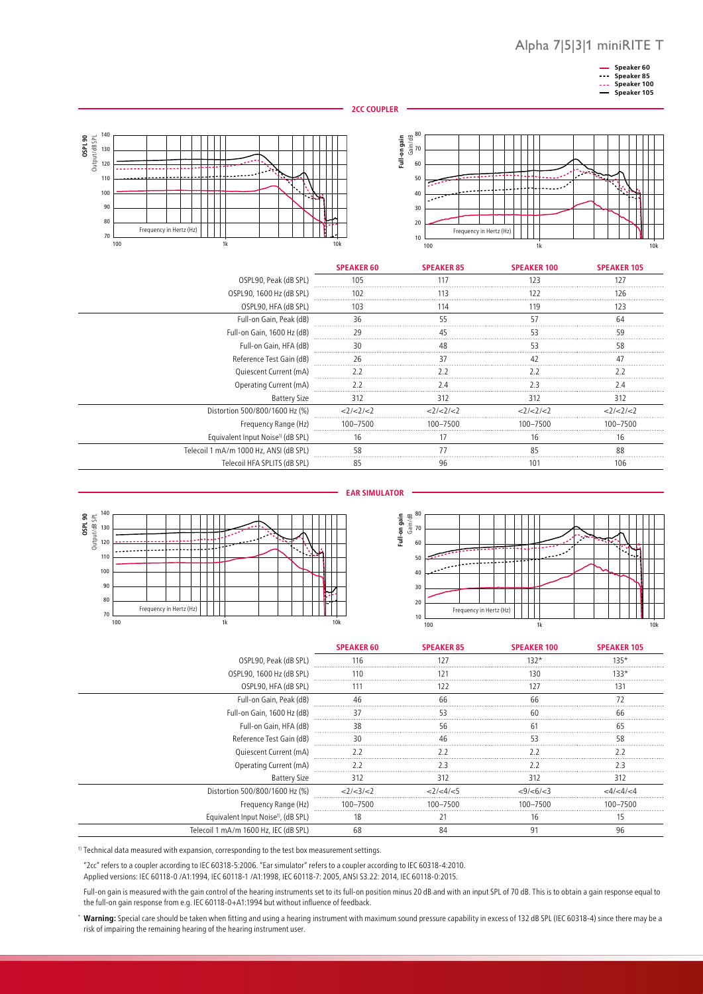





|                                               | <b>SPEAKER 60</b> | <b>SPEAKER 85</b> | <b>SPEAKER 100</b> | <b>SPEAKER 105</b> |
|-----------------------------------------------|-------------------|-------------------|--------------------|--------------------|
| OSPL90, Peak (dB SPL)                         | 105               | 117               | 123                |                    |
| OSPL90, 1600 Hz (dB SPL)                      | 102               |                   |                    | 26                 |
| OSPL90, HFA (dB SPL)                          | 103               | 114               | 119                | 123                |
| Full-on Gain, Peak (dB)                       |                   |                   |                    | 6Δ                 |
| Full-on Gain, 1600 Hz (dB)                    |                   |                   |                    |                    |
| Full-on Gain, HFA (dB)                        |                   |                   |                    | 58                 |
| Reference Test Gain (dB)                      |                   |                   |                    |                    |
| Quiescent Current (mA)                        | 22                |                   |                    |                    |
| Operating Current (mA)                        |                   |                   |                    |                    |
| Battery Size                                  | 312               | 312               | 312                | 312                |
| Distortion 500/800/1600 Hz (%)                | <2/2/2            | <2/2/2            | 2/2/2              | 2/2/2              |
| Frequency Range (Hz)                          | 100-7500          | $100 - 7500$      | 100-7500           | 100–7500           |
| Equivalent Input Noise <sup>1)</sup> (dB SPL) | 16                |                   | 16                 | Ib                 |
| Telecoil 1 mA/m 1000 Hz, ANSI (dB SPL)        | 58                |                   | 85                 | 88                 |
| Telecoil HFA SPLITS (dB SPL)                  | 85                | 96                | ١O                 | 106                |





|                                                 | <b>SPEAKER 60</b> | <b>SPEAKER 85</b> | <b>SPEAKER 100</b>  | <b>SPEAKER 105</b> |
|-------------------------------------------------|-------------------|-------------------|---------------------|--------------------|
| OSPL90, Peak (dB SPL)                           |                   |                   | 132*                | 135*               |
| OSPL90, 1600 Hz (dB SPL)                        | 110               |                   | 130                 | 33,                |
| OSPL90, HFA (dB SPL)                            | 111               | 122               |                     | 131                |
| Full-on Gain, Peak (dB)                         |                   |                   |                     |                    |
| Full-on Gain, 1600 Hz (dB)                      |                   |                   |                     |                    |
| Full-on Gain, HFA (dB)                          | 38                | 56                |                     | h۰                 |
| Reference Test Gain (dB)                        |                   |                   |                     |                    |
| Quiescent Current (mA)                          |                   |                   |                     |                    |
| Operating Current (mA)                          |                   |                   |                     |                    |
| <b>Battery Size</b>                             | 312               | 312               | 312                 | 312                |
| Distortion 500/800/1600 Hz (%)                  | 2/3/2             | 21 < 41 < 5       | $<9$ / $<$ 6/ $<$ 3 |                    |
| Frequency Range (Hz)                            | 100-7500          | 100-7500          | 100-7500            | 100–7500           |
| Equivalent Input Noise <sup>1)</sup> , (dB SPL) | 18                | 21                | 16                  |                    |
| Telecoil 1 mA/m 1600 Hz, IEC (dB SPL)           |                   |                   |                     | 96                 |

<sup>1)</sup> Technical data measured with expansion, corresponding to the test box measurement settings.

"2cc" refers to a coupler according to IEC 60318-5:2006. "Ear simulator" refers to a coupler according to IEC 60318-4:2010.

Applied versions: IEC 60118-0 /A1:1994, IEC 60118-1 /A1:1998, IEC 60118-7: 2005, ANSI S3.22: 2014, IEC 60118-0:2015.

Full-on gain is measured with the gain control of the hearing instruments set to its full-on position minus 20 dB and with an input SPL of 70 dB. This is to obtain a gain response equal to the full-on gain response from e.g. IEC 60118-0+A1:1994 but without influence of feedback.

\* Warning: Special care should be taken when fitting and using a hearing instrument with maximum sound pressure capability in excess of 132 dB SPL (IEC 60318-4) since there may be a risk of impairing the remaining hearing of the hearing instrument user.

#### **EAR SIMULATOR**